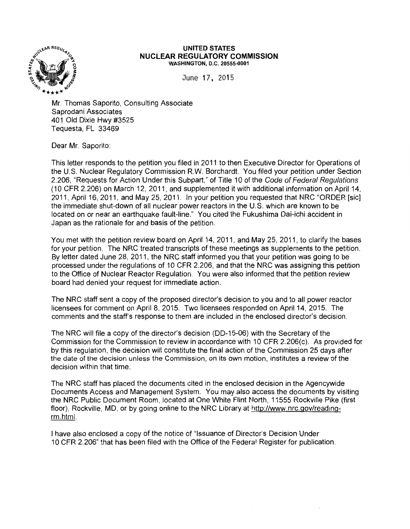

#### **UNITED STATES NUCLEAR REGULATORY COMMISSION**  WASHINGTON, D.C. 20555-0001

June 17, 2015

Mr. Thomas Saporito, Consulting Associate Saprodani Associates 401 Old Dixie Hwy #3525 Tequesta, FL 33469

Dear Mr. Saporito:

This letter responds to the petition you filed in 2011 to then Executive Director for Operations of the U.S. Nuclear Regulatory Commission R.W. Borchardt. You filed your petition under Section 2.206, "Requests for Action Under this Subpart," of Title 10 of the Code of Federal Regulations (10 CFR 2.206) on March 12, 2011, and supplemented it with additional information on April 14, 2011, April 16, 2011, and May 25, 2011. In your petition you requested that NRC "ORDER [sic] the immediate shut-down of all nuclear power reactors in the U.S. which are known to be located on or near an earthquake fault-line." You cited the Fukushima Dai-ichi accident in Japan as the rationale for and basis of the petition.

You met with the petition review board on April 14, 2011, and May 25, 2011, to clarify the bases for your petition. The NRC treated transcripts of these meetings as supplements to the petition. By letter dated June 28, 2011, the NRC staff informed you that your petition was going to be processed under the regulations of 10 CFR 2.206, and that the NRC was assigning this petition to the Office of Nuclear Reactor Regulation. You were also informed that the petition review board had denied your request for immediate action.

The NRC staff sent a copy of the proposed director's decision to you and to all power reactor licensees for comment on April 8, 2015. Two licensees responded on April 14, 2015. The comments and the staff's response to them are included in the enclosed director's decision.

The NRC will file a copy of the director's decision (DD-15-06) with the Secretary of the Commission for the Commission to review in accordance with 10 CFR 2.206(c). As provided for by this regulation, the decision will constitute the final action of the Commission 25 days after the date of the decision unless the Commission, on its own motion, institutes a review of the decision within that time.

The NRC staff has placed the documents cited in the enclosed decision in the Agencywide Documents Access and Management System. You may also access the documents by visiting the NRC Public Document Room, located at One White Flint North, 11555 Rockville Pike (first floor), Rockville, MD, or by going online to the NRC Library at http://www.nrc.gov/readingrm.html.

I have also enclosed a copy of the notice of "Issuance of Director's Decision Under 10 CFR 2.206" that has been filed with the Office of the Federal Register for publication.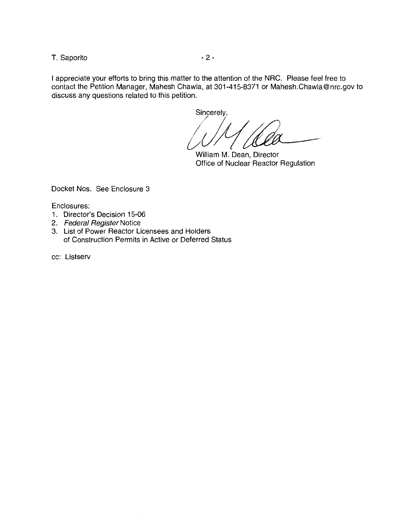T. Saporito  $-2$  -

I appreciate your efforts to bring this matter to the attention of the NRC. Please feel free to contact the Petition Manager, Mahesh Chawla, at 301-415-8371 or Mahesh.Chawla@nrc.gov to discuss any questions related to this petition.

Sincerely,

 $W'$  (let

William M. Dean, Director Office of Nuclear Reactor Regulation

Docket Nos. See Enclosure 3

Enclosures:

- 1. Director's Decision 15-06
- 2. Federal Register Notice
- 3. List of Power Reactor Licensees and Holders of Construction Permits in Active or Deferred Status

cc: Listserv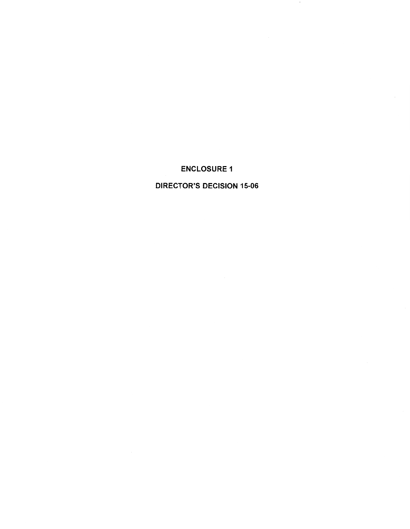# ENCLOSURE 1

 $\mathbf{r}$ 

## DIRECTOR'S DECISION 15-06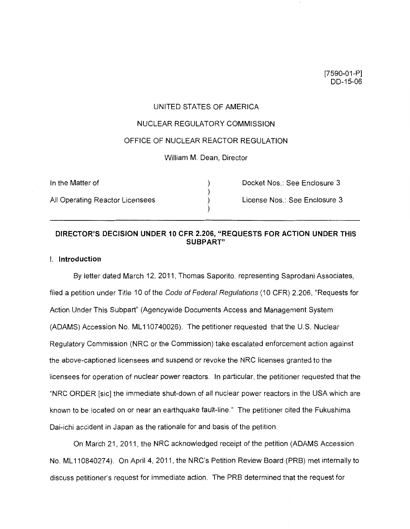## UNITED STATES OF AMERICA

#### NUCLEAR REGULATORY COMMISSION

## OFFICE OF NUCLEAR REACTOR REGULATION

#### William M. Dean, Director

| In the Matter of                | Docket Nos.: See Enclosure 3  |
|---------------------------------|-------------------------------|
| All Operating Reactor Licensees | License Nos.: See Enclosure 3 |

## **DIRECTOR'S DECISION UNDER 10 CFR 2.206, "REQUESTS FOR ACTION UNDER THIS SUBPART"**

## I. **Introduction**

By letter dated March 12, 2011, Thomas Saporito, representing Saprodani Associates, filed a petition under Title 10 of the Code of Federal Regulations (10 CFR) 2.206, "Requests for Action Under This Subpart" (Agencywide Documents Access and Management System (ADAMS) Accession No. ML 110740026). The petitioner requested that the U.S. Nuclear Regulatory Commission (NRC or the Commission) take escalated enforcement action against the above-captioned licensees and suspend or revoke the NRC licenses granted to the licensees for operation of nuclear power reactors. In particular, the petitioner requested that the "NRC ORDER [sic] the immediate shut-down of all nuclear power reactors in the USA which are known to be located on or near an earthquake fault-line." The petitioner cited the Fukushima Dai-ichi accident in Japan as the rationale for and basis of the petition.

On March 21, 2011, the NRC acknowledged receipt of the petition (ADAMS Accession No. ML 110840274). On April 4, 2011, the NRC's Petition Review Board (PRB) met internally to discuss petitioner's request for immediate action. The PRB determined that the request for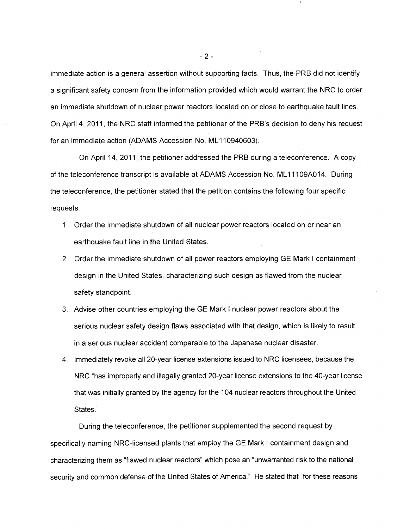immediate action is a general assertion without supporting facts. Thus, the PRB did not identify a significant safety concern from the information provided which would warrant the NRC to order an immediate shutdown of nuclear power reactors located on or close to earthquake fault lines. On April 4, 2011, the NRC staff informed the petitioner of the PRB's decision to deny his request for an immediate action (ADAMS Accession No. ML 110940603).

On April 14, 2011, the petitioner addressed the PRB during a teleconference. A copy of the teleconference transcript is available at ADAMS Accession No. ML 11109A014. During the teleconference, the petitioner stated that the petition contains the following four specific requests:

- 1. Order the immediate shutdown of all nuclear power reactors located on or near an earthquake fault line in the United States.
- 2. Order the immediate shutdown of all power reactors employing GE Mark I containment design in the United States, characterizing such design as flawed from the nuclear safety standpoint.
- 3. Advise other countries employing the GE Mark I nuclear power reactors about the serious nuclear safety design flaws associated with that design, which is likely to result in a serious nuclear accident comparable to the Japanese nuclear disaster.
- 4. Immediately revoke all 20-year license extensions issued to NRC licensees, because the NRC "has improperly and illegally granted 20-year license extensions to the 40-year license that was initially granted by the agency for the 104 nuclear reactors throughout the United States."

During the teleconference, the petitioner supplemented the second request by specifically naming NRG-licensed plants that employ the GE Mark I containment design and characterizing them as "flawed nuclear reactors" which pose an "unwarranted risk to the national security and common defense of the United States of America." He stated that "for these reasons

 $-2 -$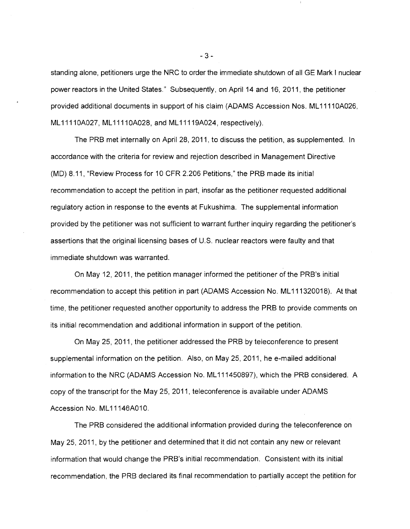standing alone, petitioners urge the NRC to order the immediate shutdown of all GE Mark I nuclear power reactors in the United States." Subsequently, on April 14 and 16, 2011, the petitioner provided additional documents in support of his claim (ADAMS Accession Nos. ML 1111 OA026, ML11110A027, ML11110A028, and ML11119A024, respectively).

The PRB met internally on April 28, 2011, to discuss the petition, as supplemented. In accordance with the criteria for review and rejection described in Management Directive (MD) 8.11, "Review Process for 10 CFR 2.206 Petitions," the PRB made its initial recommendation to accept the petition in part, insofar as the petitioner requested additional regulatory action in response to the events at Fukushima. The supplemental information provided by the petitioner was not sufficient to warrant further inquiry regarding the petitioner's assertions that the original licensing bases of U.S. nuclear reactors were faulty and that immediate shutdown was warranted.

On May 12, 2011, the petition manager informed the petitioner of the PRB's initial recommendation to accept this petition in part (ADAMS Accession No. ML 111320018). At that time, the petitioner requested another opportunity to address the PRB to provide comments on its initial recommendation and additional information in support of the petition.

On May 25, 2011, the petitioner addressed the PRB by teleconference to present supplemental information on the petition. Also, on May 25, 2011, he e-mailed additional information to the NRC (ADAMS Accession No. ML 111450897), which the PRB considered. A copy of the transcript for the May 25, 2011, teleconference is available under ADAMS Accession No. ML11146A010.

The PRB considered the additional information provided during the teleconference on May 25, 2011, by the petitioner and determined that it did not contain any new or relevant information that would change the PRB's initial recommendation. Consistent with its initial recommendation, the PRB declared its final recommendation to partially accept the petition for

- 3 -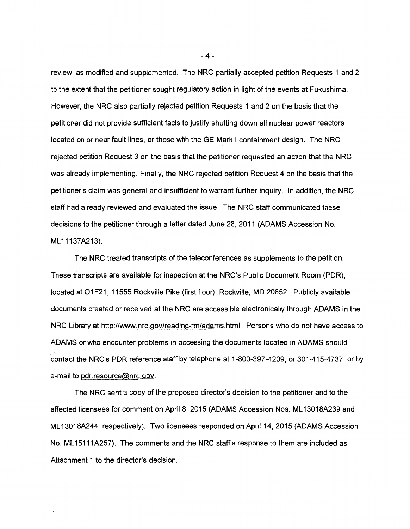review, as modified and supplemented. The NRC partially accepted petition Requests 1 and 2 to the extent that the petitioner sought regulatory action in light of the events at Fukushima. However, the NRC also partially rejected petition Requests 1 and 2 on the basis that the petitioner did not provide sufficient facts to justify shutting down all nuclear power reactors located on or near fault lines, or those with the GE Mark I containment design. The NRC rejected petition Request 3 on the basis that the petitioner requested an action that the NRC was already implementing. Finally, the NRC rejected petition Request 4 on the basis that the petitioner's claim was general and insufficient to warrant further inquiry. In addition, the NRC staff had already reviewed and evaluated the issue. The NRC staff communicated these decisions to the petitioner through a letter dated June 28, 2011 (ADAMS Accession No. ML 11137A213).

The NRC treated transcripts of the teleconferences as supplements to the petition. These transcripts are available for inspection at the NRC's Public Document Room (PDR), located at O1F21, 11555 Rockville Pike (first floor), Rockville, MD 20852. Publicly available documents created or received at the NRC are accessible electronically through ADAMS in the NRC Library at http://www.nrc.gov/reading-rm/adams.html. Persons who do not have access to ADAMS or who encounter problems in accessing the documents located in ADAMS should contact the NRC's PDR reference staff by telephone at 1-800-397-4209, or 301-415-4737, or by e-mail to pdr.resource@nrc.gov.

The NRC sent a copy of the proposed director's decision to the petitioner and to the affected licensees for comment on April 8, 2015 (ADAMS Accession Nos. ML 13018A239 and ML 13018A244, respectively). Two licensees responded on April 14, 2015 (ADAMS Accession No. ML 15111A257). The comments and the NRC staff's response to them are included as Attachment 1 to the director's decision.

-4-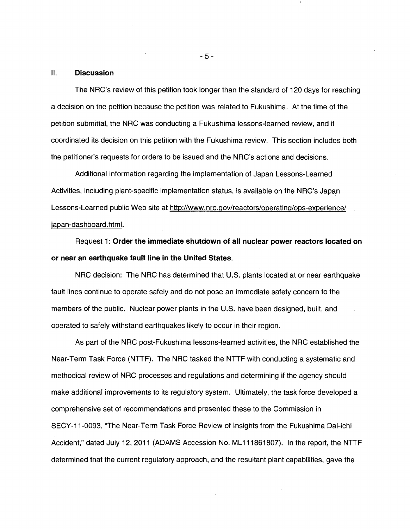#### 11. **Discussion**

The NRC's review of this petition took longer than the standard of 120 days for reaching a decision on the petition because the petition was related to Fukushima. At the time of the petition submittal, the NRC was conducting a Fukushima lessons-learned review, and it coordinated its decision on this petition with the Fukushima review. This section includes both the petitioner's requests for orders to be issued and the NRC's actions and decisions.

Additional information regarding the implementation of Japan Lessons-Learned Activities, including plant-specific implementation status, is available on the NRC's Japan Lessons-Learned public Web site at http://www.nrc.gov/reactors/operating/ops-experience/ japan-dashboard.html.

Request 1: **Order the immediate shutdown of all nuclear power reactors located on or near an earthquake fault line in the United States.** 

NRC decision: The NRC has determined that U.S. plants located at or near earthquake fault lines continue to operate safely and do not pose an immediate safety concern to the members of the public. Nuclear power plants in the U.S. have been designed, built, and operated to safely withstand earthquakes likely to occur in their region.

As part of the NRC post-Fukushima lessons-learned activities, the NRC established the Near-Term Task Force (NTTF). The NRC tasked the NTTF with conducting a systematic and methodical review of NRC processes and regulations and determining if the agency should make additional improvements to its regulatory system. Ultimately, the task force developed a comprehensive set of recommendations and presented these to the Commission in SECY-11-0093, ''The Near-Term Task Force Review of Insights from the Fukushima Dai-ichi Accident," dated July 12, 2011 (ADAMS Accession No. ML111861807). In the report, the NTTF determined that the current regulatory approach, and the resultant plant capabilities, gave the

- 5 -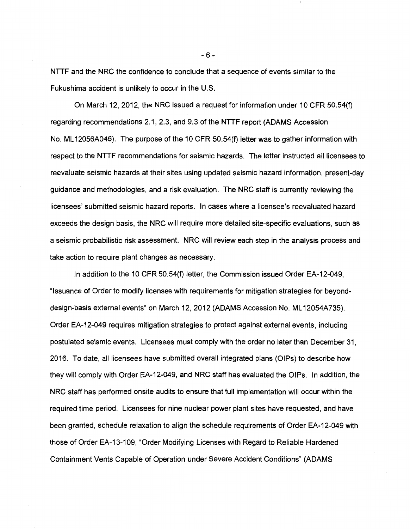NTTF and the NRC the confidence to conclude that a sequence of events similar to the Fukushima accident is unlikely to occur in the U.S.

On March 12, 2012, the NRC issued a request for information under 10 CFR 50.54(f) regarding recommendations 2.1, 2.3, and 9.3 of the NTTF report (ADAMS Accession No. ML12056A046). The purpose of the 10 CFR 50.54(f) letter was to gather information with respect to the NTTF recommendations for seismic hazards. The letter instructed all licensees to reevaluate seismic hazards at their sites using updated seismic hazard information, present-day guidance and methodologies, and a risk evaluation. The NRC staff is currently reviewing the licensees' submitted seismic hazard reports. In cases where a licensee's reevaluated hazard exceeds the design basis, the NRC will require more detailed site-specific evaluations, such as a seismic probabilistic risk assessment. NRC will review each step in the analysis process and take action to require plant changes as necessary.

In addition to the 10 CFR 50.54(f) letter, the Commission issued Order EA-12-049, "Issuance of Order to modify licenses with requirements for mitigation strategies for beyonddesign-basis external events" on March 12, 2012 (ADAMS Accession No. ML12054A735). Order EA-12-049 requires mitigation strategies to protect against external events, including postulated seismic events. Licensees must comply with the order no later than December 31, 2016. To date, all licensees have submitted overall integrated plans (OIPs) to describe how they will comply with Order EA-12-049, and NRC staff has evaluated the OIPs. In addition, the NRC staff has performed onsite audits to ensure that full implementation will occur within the required time period. Licensees for nine nuclear power plant sites have requested, and have been granted, schedule relaxation to align the schedule requirements of Order EA-12-049 with those of Order EA-13-109, "Order Modifying Licenses with Regard to Reliable Hardened Containment Vents Capable of Operation under Severe Accident Conditions" (ADAMS

-6-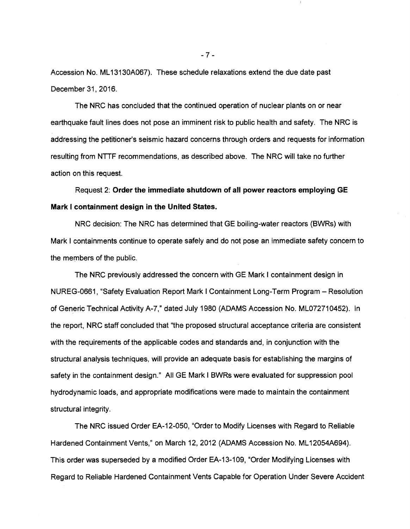Accession No. ML 13130A067). These schedule relaxations extend the due date past December 31, 2016.

The NRC has concluded that the continued operation of nuclear plants on or near earthquake fault lines does not pose an imminent risk to public health and safety. The NRC is addressing the petitioner's seismic hazard concerns through orders and requests for information resulting from NTTF recommendations, as described above. The NRC will take no further action on this request.

Request 2: **Order the immediate shutdown of all power reactors employing GE Mark I containment design in the United States.** 

NRC decision: The NRC has determined that GE boiling-water reactors (BWRs) with Mark I containments continue to operate safely and do not pose an immediate safety concern to the members of the public.

The NRC previously addressed the concern with GE Mark I containment design in NUREG-0661, "Safety Evaluation Report Mark I Containment Long-Term Program - Resolution of Generic Technical Activity A-7," dated July 1980 (ADAMS Accession No. ML072710452). In the report, NRC staff concluded that "the proposed structural acceptance criteria are consistent with the requirements of the applicable codes and standards and, in conjunction with the structural analysis techniques, will provide an adequate basis for establishing the margins of safety in the containment design." All GE Mark I BWRs were evaluated for suppression pool hydrodynamic loads, and appropriate modifications were made to maintain the containment structural integrity.

The NRC issued Order EA-12-050, "Order to Modify Licenses with Regard to Reliable Hardened Containment Vents," on March 12, 2012 (ADAMS Accession No. ML12054A694). This order was superseded by a modified Order EA-13-109, "Order Modifying Licenses with Regard to Reliable Hardened Containment Vents Capable for Operation Under Severe Accident

-?-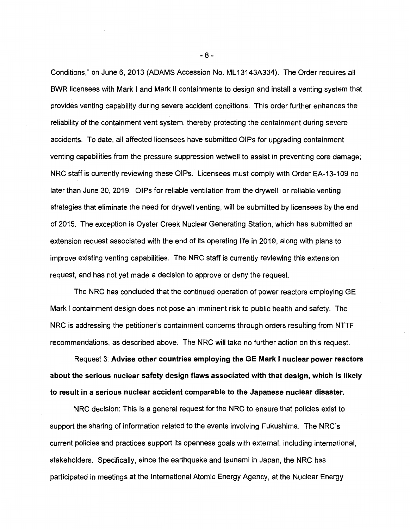Conditions," on June 6, 2013 (ADAMS Accession No. ML 13143A334). The Order requires all BWR licensees with Mark I and Mark II containments to design and install a venting system that provides venting capability during severe accident conditions. This order further enhances the reliability of the containment vent system, thereby protecting the containment during severe accidents. To date, all affected licensees have submitted OIPs for upgrading containment venting capabilities from the pressure suppression wetwell to assist in preventing core damage; NRC staff is currently reviewing these OIPs. Licensees must comply with Order EA-13-109 no later than June 30, 2019. OIPs for reliable ventilation from the drywell, or reliable venting strategies that eliminate the need for drywell venting, will be submitted by licensees by the end of 2015. The exception is Oyster Creek Nuclear Generating Station, which has submitted an extension request associated with the end of its operating life in 2019, along with plans to improve existing venting capabilities. The NRC staff is currently reviewing this extension request, and has not yet made a decision to approve or deny the request.

The NRC has concluded that the continued operation of power reactors employing GE Mark I containment design does not pose an imminent risk to public health and safety. The NRC is addressing the petitioner's containment concerns through orders resulting from NTTF recommendations, as described above. The NRC will take no further action on this request.

Request 3: **Advise other countries employing the GE Mark I nuclear power reactors about the serious nuclear safety design flaws associated with that design, which is likely to result in a serious nuclear accident comparable to the Japanese nuclear disaster.** 

NRC decision: This is a general request for the NRC to ensure that policies exist to support the sharing of information related to the events involving Fukushima. The NRC's current policies and practices support its openness goals with external, including international, stakeholders. Specifically, since the earthquake and tsunami in Japan, the NRC has participated in meetings at the International Atomic Energy Agency, at the Nuclear Energy

- 8 -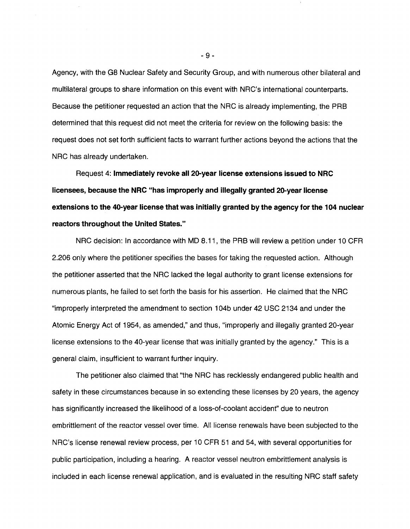Agency, with the (38 Nuclear Safety and Security Group, and with numerous other bilateral and multilateral groups to share information on this event with NRC's international counterparts. Because the petitioner requested an action that the NRC is already implementing, the PRB determined that this request did not meet the criteria for review on the following basis: the request does not set forth sufficient facts to warrant further actions beyond the actions that the NRG has already undertaken.

Request 4: **Immediately revoke all 20-year license extensions issued to NRC licensees, because the NRC "has improperly and illegally granted 20-year license extensions to the 40-year license that was initially granted by the agency for the 104 nuclear reactors throughout the United States."** 

NRC decision: In accordance with MD 8.11, the PRB will review a petition under 10 CFR 2.206 only where the petitioner specifies the bases for taking the requested action. Although the petitioner asserted that the NRG lacked the legal authority to grant license extensions for numerous plants, he failed to set forth the basis for his assertion. He claimed that the NRG "improperly interpreted the amendment to section 104b under 42 USC 2134 and under the Atomic Energy Act of 1954, as amended," and thus, "improperly and illegally granted 20-year license extensions to the 40-year license that was initially granted by the agency." This is a general claim, insufficient to warrant further inquiry.

The petitioner also claimed that "the NRG has recklessly endangered public health and safety in these circumstances because in so extending these licenses by 20 years, the agency has significantly increased the likelihood of a loss-of-coolant accidenf' due to neutron embrittlement of the reactor vessel over time. All license renewals have been subjected to the NRC's license renewal review process, per 10 CFR 51 and 54, with several opportunities for public participation, including a hearing. A reactor vessel neutron embrittlement analysis is included in each license renewal application, and is evaluated in the resulting NRG staff safety

- 9 -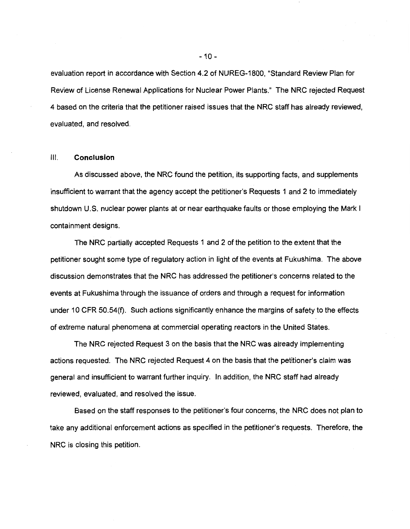evaluation report in accordance with Section 4.2 of NUREG-1800, "Standard Review Plan for Review of License Renewal Applications for Nuclear Power Plants." The NRC rejected Request 4 based on the criteria that the petitioner raised issues that the NRC staff has already reviewed, evaluated, and resolved.

#### Ill. **Conclusion**

As discussed above, the NRC found the petition, its supporting facts, and supplements insufficient to warrant that the agency accept the petitioner's Requests 1 and 2 to immediately shutdown U.S. nuclear power plants at or near earthquake faults or those employing the Mark I containment designs.

The NRC partially accepted Requests 1 and 2 of the petition to the extent that the petitioner sought some type of regulatory action in light of the events at Fukushima. The above discussion demonstrates that the NRC has addressed the petitioner's concerns related to the events at Fukushima through the issuance of orders and through a request for information under 10 CFR 50.54(f). Such actions significantly enhance the margins of safety to the effects of extreme natural phenomena at commercial operating reactors in the United States.

The NRC rejected Request 3 on the basis that the NRC was already implementing actions requested. The NRC rejected Request 4 on the basis that the petitioner's claim was general and insufficient to warrant further inquiry. In addition, the NRC staff had already reviewed, evaluated, and resolved the issue.

Based on the staff responses to the petitioner's four concerns, the NRC does not plan to take any additional enforcement actions as specified in the petitioner's requests. Therefore, the NRC is closing this petition.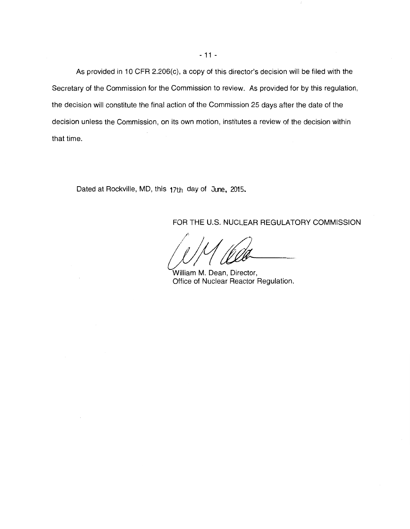As provided in 10 CFR 2.206(c), a copy of this director's decision will be filed with the Secretary of the Commission for the Commission to review. As provided for by this regulation, the decision will constitute the final action of the Commission 25 days after the date of the decision unless the Commission, on its own motion, institutes a review of the decision within that time.

Dated at Rockville, MD, this 17th day of June, 2015.

FOR THE U.S. NUCLEAR REGULATORY COMMISSION

 $\int$  /  $\frac{1}{\ell}$ 

William M. Dean, Director, Office of Nuclear Reactor Regulation.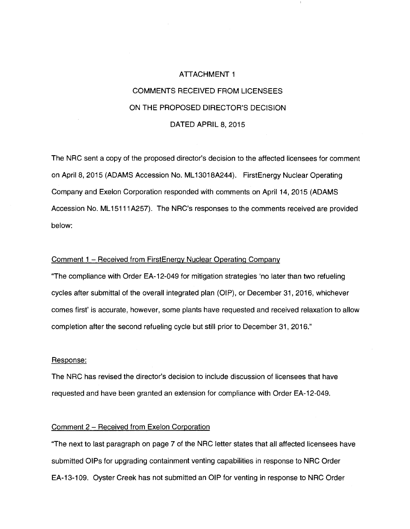# ATTACHMENT 1 COMMENTS RECEIVED FROM LICENSEES ON THE PROPOSED DIRECTOR'S DECISION DATED APRIL 8, 2015

The NRC sent a copy of the proposed director's decision to the affected licensees for comment on April 8, 2015 (ADAMS Accession No. ML 13018A244). FirstEnergy Nuclear Operating Company and Exelon Corporation responded with comments on April 14, 2015 (ADAMS Accession No. ML15111A257). The NRC's responses to the comments received are provided below:

#### Comment 1 - Received from FirstEnergy Nuclear Operating Company

"The compliance with Order EA-12-049 for mitigation strategies 'no later than two refueling cycles after submittal of the overall integrated plan (OIP), or December 31, 2016, whichever comes first' is accurate, however, some plants have requested and received relaxation to allow completion after the second refueling cycle but still prior to December 31, 2016."

#### Response:

The NRC has revised the director's decision to include discussion of licensees that have requested and have been granted an extension for compliance with Order EA-12-049.

## Comment 2 - Received from Exelon Corporation

"The next to last paragraph on page 7 of the NRC letter states that all affected licensees have submitted OIPs for upgrading containment venting capabilities in response to NRC Order EA-13-109. Oyster Creek has not submitted an OIP for venting in response to NRC Order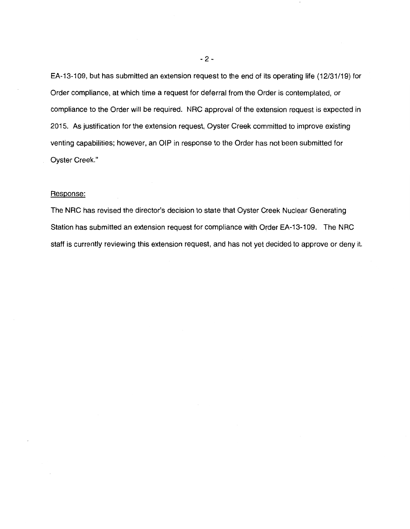EA-13-109, but has submitted an extension request to the end of its operating life {12/31/19) for Order compliance, at which time a request for deferral from the Order is contemplated, or compliance to the Order will be required. NRC approval of the extension request is expected in 2015. As justification for the extension request, Oyster Creek committed to improve existing venting capabilities; however, an OIP in response to the Order has not been submitted for Oyster Creek."

#### Response:

The NRC has revised the director's decision to state that Oyster Creek Nuclear Generating Station has submitted an extension request for compliance with Order EA-13-109. The NRC staff is currently reviewing this extension request, and has not yet decided to approve or deny it.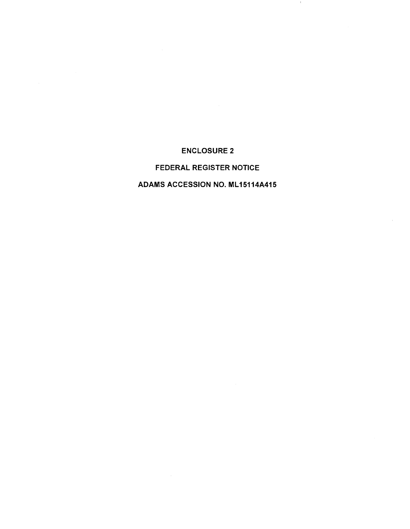ENCLOSURE 2

 $\mathbb{R}^n$ 

# FEDERAL REGISTER NOTICE

## ADAMS ACCESSION NO. ML15114A415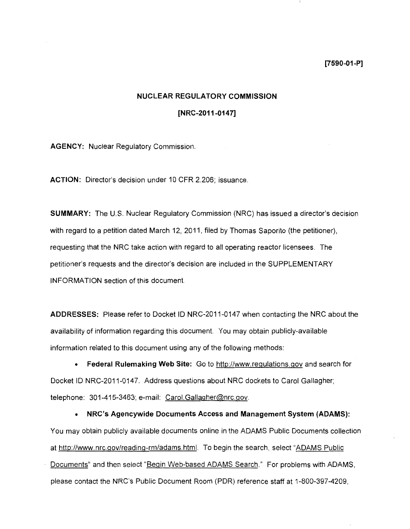**[7590-01-P]** 

## **NUCLEAR REGULATORY COMMISSION**

## **[NRC-2011-0147]**

**AGENCY:** Nuclear Regulatory Commission.

**ACTION:** Director's decision under 10 CFR 2.206; issuance.

**SUMMARY:** The U.S. Nuclear Regulatory Commission (NRC) has issued a director's decision with regard to a petition dated March 12, 2011, filed by Thomas Saporito (the petitioner), requesting that the NRC take action with regard to all operating reactor licensees. The petitioner's requests and the director's decision are included in the SUPPLEMENTARY INFORMATION section of this document.

**ADDRESSES:** Please refer to Docket ID NRC-2011-0147 when contacting the NRC about the availability of information regarding this document. You may obtain publicly-available information related to this document using any of the following methods:

• **Federal Rulemaking Web Site:** Go to http://www.regulations.gov and search for Docket ID NRC-2011-0147. Address questions about NRC dockets to Carol Gallagher; telephone: 301-415-3463; e-mail: Carol. Gallagher@nrc.gov.

• **NRC's Agencywide Documents Access and Management System (ADAMS):**  You may obtain publicly available documents online in the ADAMS Public Documents collection at http://www.nrc.gov/reading-rm/adams.html. To begin the search, select "ADAMS Public Documents" and then select "Begin Web-based ADAMS Search." For problems with ADAMS, please contact the NRC's Public Document Room (PDR) reference staff at 1-800-397-4209,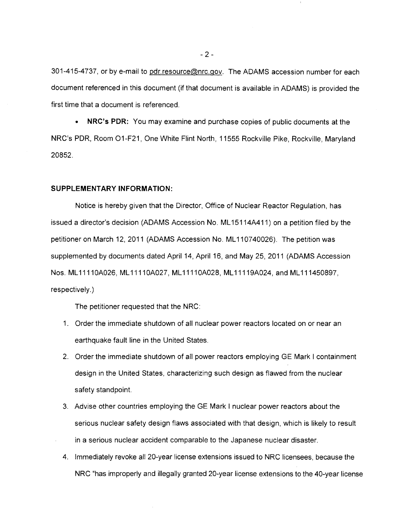301-415-4737, or by e-mail to pdr.resource@nrc.gov. The ADAMS accession number for each document referenced in this document (if that document is available in ADAMS) is provided the first time that a document is referenced.

• **NRC's PDR:** You may examine and purchase copies of public documents at the NRC's PDR, Room 01-F21, One White Flint North, 11555 Rockville Pike, Rockville, Maryland 20852.

#### **SUPPLEMENTARY INFORMATION:**

Notice is hereby given that the Director, Office of Nuclear Reactor Regulation, has issued a director's decision (ADAMS Accession No. ML 15114A411) on a petition filed by the petitioner on March 12, 2011 (ADAMS Accession No. ML110740026). The petition was supplemented by documents dated April 14, April 16, and May 25, 2011 (ADAMS Accession Nos. ML 1111 OA026, ML 1111 OA027, ML 1111 OA028, ML 11119A024, and ML 111450897, respectively.)

The petitioner requested that the NRC:

- 1. Order the immediate shutdown of all nuclear power reactors located on or near an earthquake fault line in the United States.
- 2. Order the immediate shutdown of all power reactors employing GE Mark I containment design in the United States, characterizing such design as flawed from the nuclear safety standpoint.
- 3. Advise other countries employing the GE Mark I nuclear power reactors about the serious nuclear safety design flaws associated with that design, which is likely to result in a serious nuclear accident comparable to the Japanese nuclear disaster.
- 4. Immediately revoke all 20-year license extensions issued to NRC licensees, because the NRC "has improperly and illegally granted 20-year license extensions to the 40-year license

- 2 -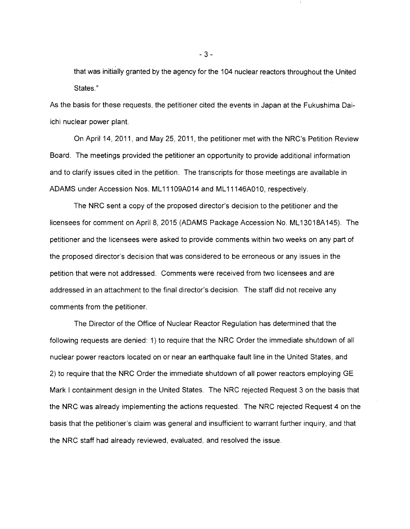that was initially granted by the agency for the 104 nuclear reactors throughout the United States."

As the basis for these requests, the petitioner cited the events in Japan at the Fukushima Daiichi nuclear power plant.

On April 14, 2011, and May 25, 2011, the petitioner met with the NRC's Petition Review Board. The meetings provided the petitioner an opportunity to provide additional information and to clarify issues cited in the petition. The transcripts for those meetings are available in ADAMS under Accession Nos. ML 11109A014 and ML 11146A010, respectively.

The NRC sent a copy of the proposed director's decision to the petitioner and the licensees for comment on April 8, 2015 (ADAMS Package Accession No. ML 13018A145). The petitioner and the licensees were asked to provide comments within two weeks on any part of the proposed director's decision that was considered to be erroneous or any issues in the petition that were not addressed. Comments were received from two licensees and are addressed in an attachment to the final director's decision. The staff did not receive any comments from the petitioner.

The Director of the Office of Nuclear Reactor Regulation has determined that the following requests are denied: 1) to require that the NRC Order the immediate shutdown of all nuclear power reactors located on or near an earthquake fault line in the United States, and 2) to require that the NRC Order the immediate shutdown of all power reactors employing GE Mark I containment design in the United States. The NRC rejected Request 3 on the basis that the NRC was already implementing the actions requested. The NRC rejected Request 4 on the basis that the petitioner's claim was general and insufficient to warrant further inquiry, and that the NRC staff had already reviewed, evaluated, and resolved the issue.

- 3 -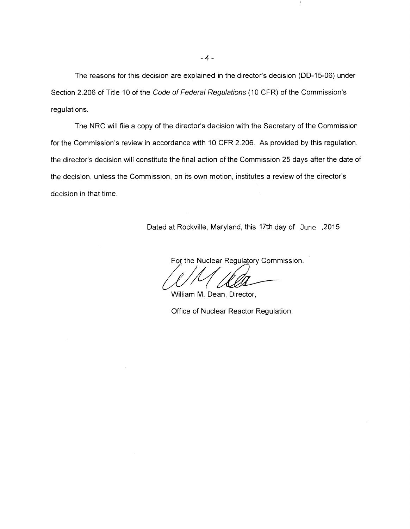The reasons for this decision are explained in the director's decision (DD-15-06) under Section 2.206 of Title 10 of the Code of Federal Regulations (10 CFR) of the Commission's regulations.

The NRC will file a copy of the director's decision with the Secretary of the Commission for the Commission's review in accordance with 10 CFR 2.206. As provided by this regulation, the director's decision will constitute the final action of the Commission 25 days after the date of the decision, unless the Commission, on its own motion, institutes a review of the director's decision in that time.

Dated at Rockville, Maryland, this 17th day of June ,2015

For the Nuclear Regulatory Commission.

William M. Dean, Director,

Office of Nuclear Reactor Regulation.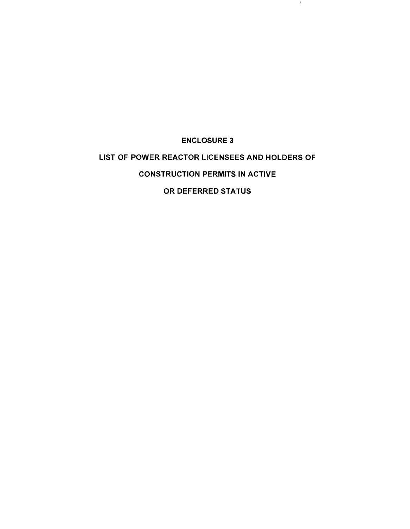# ENCLOSURE 3 LIST OF POWER REACTOR LICENSEES AND HOLDERS OF CONSTRUCTION PERMITS IN ACTIVE OR DEFERRED STATUS

 $\pm$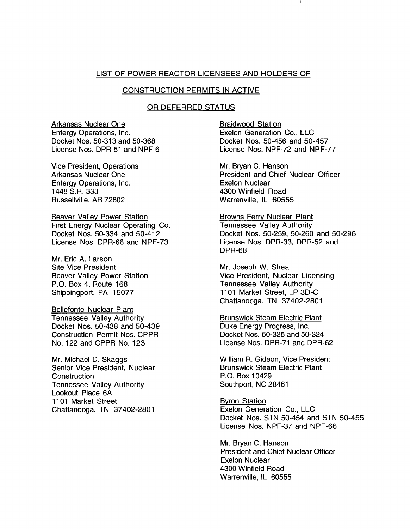## LIST OF POWER REACTOR LICENSEES AND HOLDERS OF

## CONSTRUCTION PERMITS IN ACTIVE

## OR DEFERRED STATUS

Arkansas Nuclear One Entergy Operations, Inc. Docket Nos. 50-313 and 50-368 License Nos. DPR-51 and NPF-6

Vice President, Operations Arkansas Nuclear One Entergy Operations, Inc. 1448 S.R. 333 Russellville, AR 72802

Beaver Valley Power Station First Energy Nuclear Operating Co. Docket Nos. 50-334 and 50-412 License Nos. DPR-66 and NPF-73

Mr. Eric A. Larson Site Vice President Beaver Valley Power Station P.O. Box 4, Route 168 Shippingport, PA 15077

Bellefonte Nuclear Plant Tennessee Valley Authority Docket Nos. 50-438 and 50-439 Construction Permit Nos. CPPR No. 122 and CPPR No. 123

Mr. Michael D. Skaggs Senior Vice President, Nuclear **Construction** Tennessee Valley Authority Lookout Place 6A 1101 Market Street Chattanooga, TN 37402-2801

Braidwood Station Exelon Generation Co., LLC Docket Nos. 50-456 and 50-457 License Nos. NPF-72 and NPF-77

Mr. Bryan C. Hanson President and Chief Nuclear Officer Exelon Nuclear 4300 Winfield Road Warrenville, IL 60555

Browns Ferry Nuclear Plant Tennessee Valley Authority Docket Nos. 50-259, 50-260 and 50-296 License Nos. DPR-33, DPR-52 and DPR-68

Mr. Joseph W. Shea Vice President, Nuclear Licensing Tennessee Valley Authority 1101 Market Street, LP 3D-C Chattanooga, TN 37402-2801

Brunswick Steam Electric Plant Duke Energy Progress, Inc. Docket Nos. 50-325 and 50-324 License Nos. DPR-71 and DPR-62

William R. Gideon, Vice President Brunswick Steam Electric Plant P.O. Box 10429 Southport, NC 28461

Byron Station Exelon Generation Co., LLC Docket Nos. STN 50-454 and STN 50-455 License Nos. NPF-37 and NPF-66

Mr. Bryan C. Hanson President and Chief Nuclear Officer Exelon Nuclear 4300 Winfield Road Warrenville, IL 60555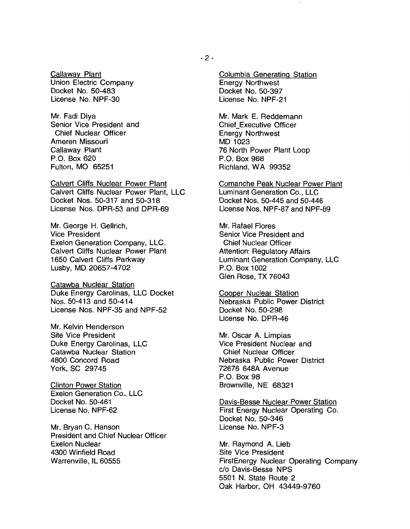Callaway Plant Union Electric Company Docket No. 50-483 License No. NPF-30

Mr. Fadi Diya Senior Vice President and Chief Nuclear Officer Ameren Missouri Callaway Plant P.O. Box 620 Fulton, MO 65251

Calvert Cliffs Nuclear Power Plant Calvert Cliffs Nuclear Power Plant, LLC Docket Nos. 50-317 and 50-318 License Nos. DPR-53 and DPR-69

Mr. George H. Gellrich, Vice President Exelon Generation Company, LLC. Calvert Cliffs Nuclear Power Plant 1650 Calvert Cliffs Parkway Lusby, MD 20657-4702

Catawba Nuclear Station Duke Energy Carolinas, LLC Docket Nos. 50-413 and 50-414 License Nos. NPF-35 and NPF-52

Mr. Kelvin Henderson Site Vice President Duke Energy Carolinas, LLC Catawba Nuclear Station 4800 Concord Road York, SC 29745

Clinton Power Station Exelon Generation Co., LLC Docket No. 50-461 License No. NPF-62

Mr. Bryan C. Hanson President and Chief Nuclear Officer Exelon Nuclear 4300 Winfield Road Warrenville, IL 60555

Columbia Generating Station Energy Northwest Docket No. 50-397 License No. NPF-21

Mr. Mark E. Reddemann Chief Executive Officer Energy Northwest MD 1023 76 North Power Plant Loop P.O. Box 968 Richland, WA 99352

Comanche Peak Nuclear Power Plant Luminant Generation Co., LLC Docket Nos. 50-445 and 50-446 License Nos. NPF-87 and NPF-89

Mr. Rafael Flores Senior Vice President and Chief Nuclear Officer Attention: Regulatory Affairs Luminant Generation Company, LLC P.O. Box 1002 Glen Rose, TX 76043

Cooper Nuclear Station Nebraska Public Power District Docket No. 50-298 License No. DPR-46

Mr. Oscar A. Limpias Vice President Nuclear and Chief Nuclear Officer Nebraska Public Power District 72676 648A Avenue P.O. Box 98 Brownville, NE 68321

Davis-Besse Nuclear Power Station First Energy Nuclear Operating Co. Docket No. 50-346 License No. NPF-3

Mr. Raymond A. Lieb Site Vice President FirstEnergy Nuclear Operating Company c/o Davis-Besse NPS 5501 N. State Route 2 Oak Harbor, OH 43449-9760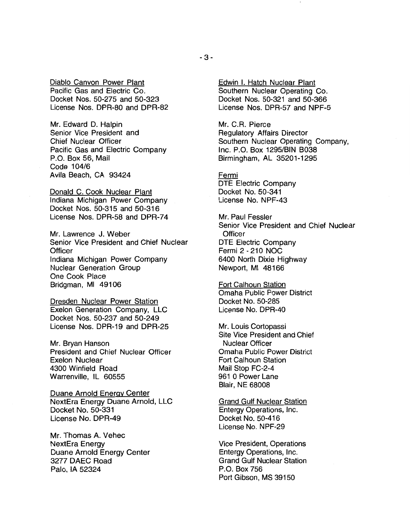Diablo Canvon Power Plant Pacific Gas and Electric Co. Docket Nos. 50-275 and 50-323 License Nos. DPR-80 and DPR-82

Mr. Edward D. Halpin Senior Vice President and Chief Nuclear Officer Pacific Gas and Electric Company P.O. Box 56, Mail Code 104/6 Avila Beach, CA 93424

Donald C. Cook Nuclear Plant Indiana Michigan Power Company Docket Nos. 50-315 and 50-316 License Nos. DPR-58 and DPR-74

Mr. Lawrence J. Weber Senior Vice President and Chief Nuclear **Officer** Indiana Michigan Power Company Nuclear Generation Group One Cook Place Bridgman, Ml 49106

Dresden Nuclear Power Station Exelon Generation Company, LLC Docket Nos. 50-237 and 50-249 License Nos. DPR-19 and DPR-25

Mr. Bryan Hanson President and Chief Nuclear Officer Exelon Nuclear 4300 Winfield Road Warrenville, IL 60555

Duane Arnold Energy Center NextEra Energy Duane Arnold, LLC Docket No. 50-331 License No. DPR-49

Mr. Thomas A. Vehec NextEra Energy Duane Arnold Energy Center 3277 DAEC Road Palo, IA 52324

Edwin I. Hatch Nuclear Plant Southern Nuclear Operating Co. Docket Nos. 50-321 and 50-366 License Nos. DPR-57 and NPF-5

Mr. C.R. Pierce Regulatory Affairs Director Southern Nuclear Operating Company, Inc. P.O. Box 1295/BIN B038 Birmingham, AL 35201-1295

Fermi DTE Electric Company Docket No. 50-341 License No. NPF-43

Mr. Paul Fessler Senior Vice President and Chief Nuclear **Officer** DTE Electric Company Fermi 2 - 210 NOC 6400 North Dixie Highway Newport, Ml 48166

Fort Calhoun Station Omaha Public Power District Docket No. 50-285 License No. DPR-40

Mr. Louis Cortopassi Site Vice President and Chief Nuclear Officer Omaha Public Power District Fort Calhoun Station Mail Stop FC-2-4 961 O Power Lane Blair, NE 68008

Grand Gulf Nuclear Station Entergy Operations, Inc. Docket No. 50-416 License No. NPF-29

Vice President, Operations Entergy Operations, Inc. Grand Gulf Nuclear Station P.O. Box 756 Port Gibson, MS 39150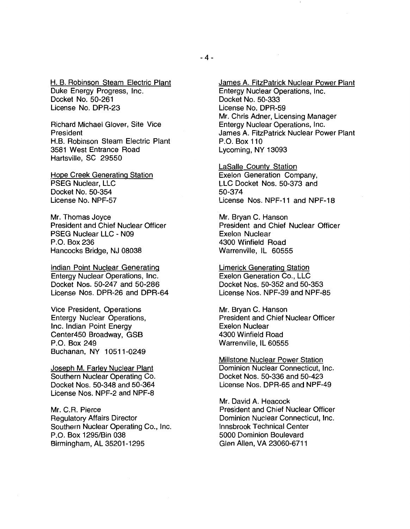H. B. Robinson Steam Electric Plant Duke Energy Progress, Inc. Docket No. 50-261 License No. DPR-23

Richard Michael Glover, Site Vice President H.B. Robinson Steam Electric Plant 3581 West Entrance Road Hartsville, SC 29550

Hope Creek Generating Station PSEG Nuclear, LLC Docket No. 50-354 License No. NPF-57

Mr. Thomas Joyce President and Chief Nuclear Officer PSEG Nuclear LLC - N09 P.O. Box 236 Hancocks Bridge, NJ 08038

Indian Point Nuclear Generating Entergy Nuclear Operations, Inc. Docket Nos. 50-247 and 50-286 License Nos. DPR-26 and DPR-64

Vice President, Operations Entergy Nuclear Operations, Inc. Indian Point Energy Center450 Broadway, GSB P.O. Box 249 Buchanan, NY 10511-0249

Joseph M. Farley Nuclear Plant Southern Nuclear Operating Co. Docket Nos. 50-348 and 50-364 License Nos. NPF-2 and NPF-8

Mr. C.R. Pierce Regulatory Affairs Director Southern Nuclear Operating Co., Inc. P.O. Box 1295/Bin 038 Birmingham, AL 35201-1295

James A. FitzPatrick Nuclear Power Plant Entergy Nuclear Operations, Inc. Docket No. 50-333 License No. DPR-59 Mr. Chris Adner, Licensing Manager Entergy Nuclear Operations, Inc. James A. FitzPatrick Nuclear Power Plant P.O. Box 110 Lycoming, NY 13093

LaSalle County Station Exelon Generation Company, LLC Docket Nos. 50-373 and 50-374 License Nos. NPF-11 and NPF-18

Mr. Bryan C. Hanson President and Chief Nuclear Officer Exelon Nuclear 4300 Winfield Road Warrenville, IL 60555

Limerick Generating Station Exelon Generation Co., LLC Docket Nos. 50-352 and 50-353 License Nos. NPF-39 and NPF-85

Mr. Bryan C. Hanson President and Chief Nuclear Officer Exelon Nuclear 4300 Winfield Road Warrenville, IL 60555

Millstone Nuclear Power Station Dominion Nuclear Connecticut, Inc. Docket Nos. 50-336 and 50-423 License Nos. DPR-65 and NPF-49

Mr. David A. Heacock President and Chief Nuclear Officer Dominion Nuclear Connecticut, Inc. Innsbrook Technical Center 5000 Dominion Boulevard Glen Allen, VA 23060-6711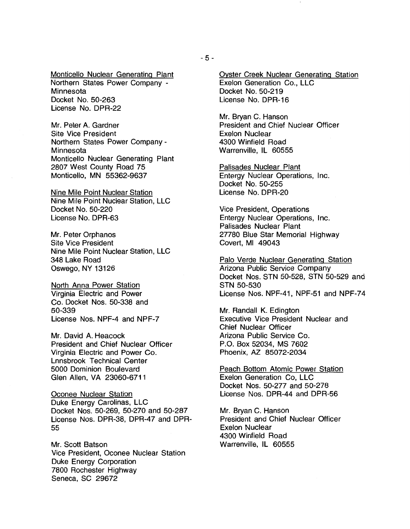Monticello Nuclear Generating Plant Northern States Power Company - **Minnesota** Docket No. 50-263 License No. DPR-22

Mr. Peter A. Gardner Site Vice President Northern States Power Company - Minnesota Monticello Nuclear Generating Plant 2807 West County Road 75 Monticello, MN 55362-9637

Nine Mile Point Nuclear Station Nine Mile Point Nuclear Station, LLC Docket No. 50-220 License No. DPR-63

Mr. Peter Orphanos Site Vice President Nine Mile Point Nuclear Station, LLC 348 Lake Road Oswego, NY 13126

North Anna Power Station Virginia Electric and Power Co. Docket Nos. 50-338 and 50-339 License Nos. NPF-4 and NPF-7

Mr. David A. Heacock President and Chief Nuclear Officer Virginia Electric and Power Co. Lnnsbrook Technical Center 5000 Dominion Boulevard Glen Allen, VA 23060-6711

Oconee Nuclear Station Duke Energy Carolinas, LLC Docket Nos. 50-269, 50-270 and 50-287 License Nos. DPR-38, DPR-47 and DPR-55

Mr. Scott Batson Vice President, Oconee Nuclear Station Duke Energy Corporation 7800 Rochester Highway Seneca, SC 29672

Oyster Creek Nuclear Generating Station Exelon Generation Co., LLC Docket No. 50-219 License No. DPR-16

Mr. Bryan C. Hanson President and Chief Nuclear Officer Exelon Nuclear 4300 Winfield Road Warrenville, IL 60555

Palisades Nuclear Plant Entergy Nuclear Operations, Inc. Docket No. 50-255 License No. DPR-20

Vice President, Operations Entergy Nuclear Operations, Inc. Palisades Nuclear Plant 27780 Blue Star Memorial Highway Covert, Ml 49043

Palo Verde Nuclear Generating Station Arizona Public Service Company Docket Nos. STN 50-528, STN 50-529 and STN 50-530 License Nos. NPF-41, NPF-51 and NPF-74

Mr. Randall K. Edington Executive Vice President Nuclear and Chief Nuclear Officer Arizona Public Service Co. P.O. Box 52034, MS 7602 Phoenix, AZ 85072-2034

Peach Bottom Atomic Power Station Exelon Generation Co, LLC Docket Nos. 50-277 and 50-278 License Nos. DPR-44 and DPR-56

Mr. Bryan C. Hanson President and Chief Nuclear Officer Exelon Nuclear 4300 Winfield Road Warrenville, IL 60555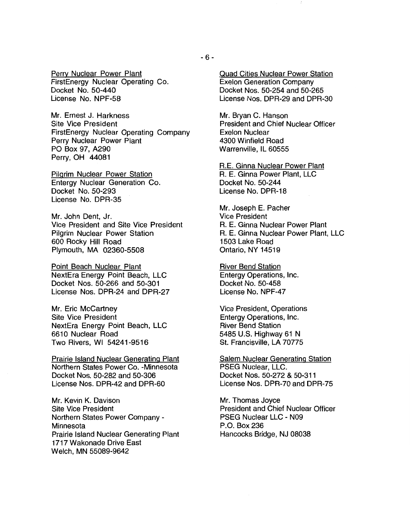Perry Nuclear Power Plant FirstEnergy Nuclear Operating Co. Docket No. 50-440 License No. NPF-58

Mr. Ernest J. Harkness Site Vice President FirstEnergy Nuclear Operating Company Perry Nuclear Power Plant PO Box 97, A290 Perry, OH 44081

Pilgrim Nuclear Power Station Entergy Nuclear Generation Co. Docket No. 50-293 License No. DPR-35

Mr. John Dent, Jr. Vice President and Site Vice President Pilgrim Nuclear Power Station 600 Rocky Hill Road Plymouth, MA 02360-5508

Point Beach Nuclear Plant NextEra Energy Point Beach, LLC Docket Nos. 50-266 and 50-301 License Nos. DPR-24 and DPR-27

Mr. Eric McCartney Site Vice President NextEra Energy Point Beach, LLC 6610 Nuclear Road Two Rivers, WI 54241-9516

Prairie Island Nuclear Generating Plant Northern States Power Co. -Minnesota Docket Nos. 50-282 and 50-306 License Nos. DPR-42 and DPR-60

Mr. Kevin K. Davison Site Vice President Northern States Power Company - **Minnesota** Prairie Island Nuclear Generating Plant 1717 Wakonade Drive East Welch, MN 55089-9642

Quad Cities Nuclear Power Station Exelon Generation Company Docket Nos. 50-254 and 50-265 License Nos. DPR-29 and DPR-30

Mr. Bryan C. Hanson President and Chief Nuclear Officer Exelon Nuclear 4300 Winfield Road Warrenville, IL 60555

R.E. Ginna Nuclear Power Plant R. E. Ginna Power Plant, LLC Docket No. 50-244 License No. DPR-18

Mr. Joseph E. Pacher Vice President R. E. Ginna Nuclear Power Plant R. E. Ginna Nuclear Power Plant, LLC 1503 Lake Road Ontario, NY 14519

River Bend Station Entergy Operations, Inc. Docket No. 50-458 License No. NPF-47

Vice President, Operations Entergy Operations, Inc. River Bend Station 5485 U.S. Highway 61 N St. Francisville, LA 70775

Salem Nuclear Generating Station PSEG Nuclear, LLC. Docket Nos. 50-272 & 50-311 License Nos. DPR-70 and DPR-75

Mr. Thomas Joyce President and Chief Nuclear Officer PSEG Nuclear LLC - N09 P.O. Box 236 Hancocks Bridge, NJ 08038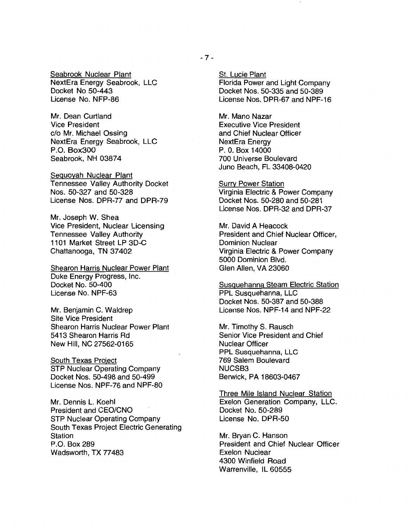Seabrook Nuclear Plant NextEra Energy Seabrook, LLC Docket No 50-443 License No. NFP-86

Mr. Dean Curtland Vice President c/o Mr. Michael Ossing NextEra Energy Seabrook, LLC P.O. Box300 Seabrook, NH 03874

Sequoyah Nuclear Plant Tennessee Valley Authority Docket Nos. 50-327 and 50-328 License Nos. DPR-77 and DPR-79

Mr. Joseph W. Shea Vice President, Nuclear Licensing Tennessee Valley Authority 1101 Market Street LP 3D-C Chattanooga, TN 37402

Shearon Harris Nuclear Power Plant Duke Energy Progress, Inc. Docket No. 50-400 License No. NPF-63

Mr. Benjamin C. Waldrep Site Vice President Shearon Harris Nuclear Power Plant 5413 Shearon Harris Rd New Hill, NC 27562-0165

South Texas Project STP Nuclear Operating Company Docket Nos. 50-498 and 50-499 License Nos. NPF-76 and NPF-80

Mr. Dennis L. Koehl President and CEO/CNO STP Nuclear Operating Company South Texas Project Electric Generating Station P.O. Box 289 Wadsworth, TX 77483

St. Lucie Plant Florida Power and Light Company Docket Nos. 50-335 and 50-389 License Nos. DPR-67 and NPF-16

Mr. Mano Nazar Executive Vice President and Chief Nuclear Officer NextEra Energy P. 0. Box 14000 700 Universe Boulevard Juno Beach, FL 33408-0420

Surry Power Station Virginia Electric & Power Company Docket Nos. 50-280 and 50-281 License Nos. DPR-32 and DPR-37

Mr. David A Heacock President and Chief Nuclear Officer, Dominion Nuclear Virginia Electric & Power Company 5000 Dominion Blvd. Glen Allen, VA 23060

Susquehanna Steam Electric Station PPL Susquehanna, LLC Docket Nos. 50-387 and 50-388 License Nos. NPF-14 and NPF-22

Mr. Timothy S. Rausch Senior Vice President and Chief Nuclear Officer PPL Susquehanna, LLC 769 Salem Boulevard NUCSB3 Berwick, PA 18603-0467

Three Mile Island Nuclear Station Exelon Generation Company, LLC. Docket No. 50-289 License No. DPR-50

Mr. Bryan C. Hanson President and Chief Nuclear Officer Exelon Nuclear 4300 Winfield Road Warrenville, IL 60555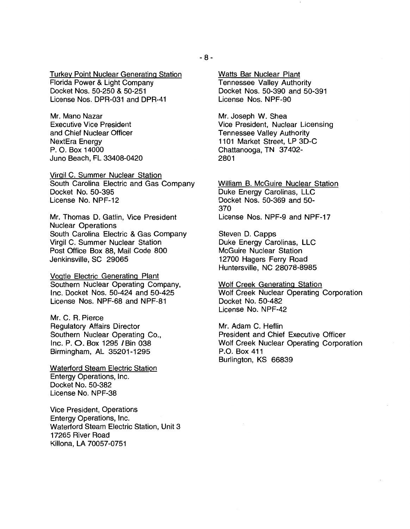Turkey Point Nuclear Generating Station Florida Power & Light Company Docket Nos. 50-250 & 50-251 License Nos. DPR-031 and DPR-41

Mr. Mano Nazar Executive Vice President and Chief Nuclear Officer NextEra Energy P. 0. Box 14000 Juno Beach, FL 33408-0420

Virgil C. Summer Nuclear Station South Carolina Electric and Gas Company Docket No. 50-395 License No. NPF-12

Mr. Thomas D. Gatlin, Vice President Nuclear Operations South Carolina Electric & Gas Company Virgil C. Summer Nuclear Station Post Office Box 88, Mail Code 800 Jenkinsville, SC 29065

Vogtle Electric Generating Plant Southern Nuclear Operating Company, Inc. Docket Nos. 50-424 and 50-425 License Nos. NPF-68 and NPF-81

Mr. C. R. Pierce Regulatory Affairs Director Southern Nuclear Operating Co., Inc. P. 0. Box 1295 /Bin 038 Birmingham, AL 35201-1295

Waterford Steam Electric Station Entergy Operations, Inc. Docket No. 50-382 License No. NPF-38

Vice President, Operations Entergy Operations, Inc. Waterford Steam Electric Station, Unit 3 17265 River Road Killona, LA 70057-0751

Watts Bar Nuclear Plant Tennessee Valley Authority Docket Nos. 50-390 and 50-391 License Nos. NPF-90

Mr. Joseph W. Shea Vice President, Nuclear Licensing Tennessee Valley Authority 1101 Market Street, LP 30-C Chattanooga, TN 37 402- 2801

William B. McGuire Nuclear Station Duke Energy Carolinas, LLC Docket Nos. 50-369 and 50- 370 License Nos. NPF-9 and NPF-17

Steven D. Capps Duke Energy Carolinas, LLC McGuire Nuclear Station 12700 Hagers Ferry Road Huntersville, NC 28078-8985

Wolf Creek Generating Station Wolf Creek Nuclear Operating Corporation Docket No. 50-482 License No. NPF-42

Mr. Adam C. Heflin President and Chief Executive Officer Wolf Creek Nuclear Operating Corporation P.O. Box 411 Burlington, KS 66839